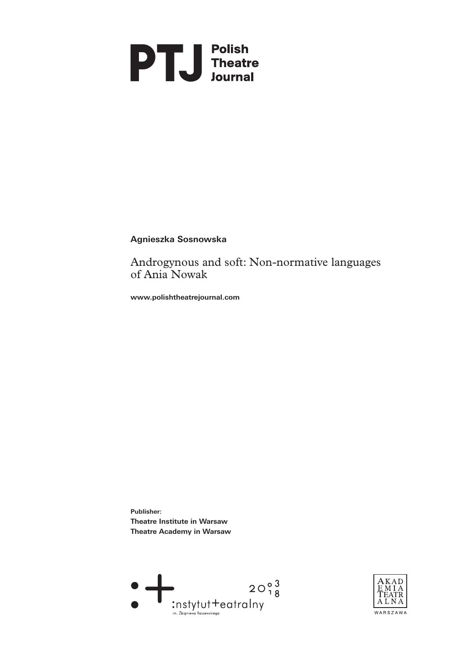

## **Agnieszka Sosnowska**

Androgynous and soft: Non‑normative languages of Ania Nowak

**www.polishtheatrejournal.com**

**Publisher: Theatre Institute in Warsaw Theatre Academy in Warsaw** 



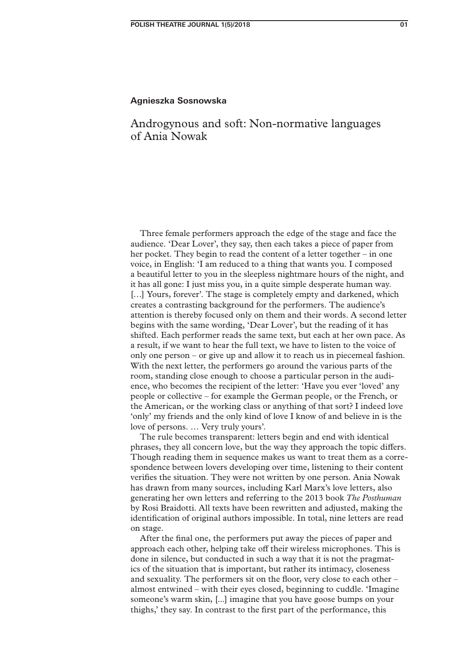#### **Agnieszka Sosnowska**

# Androgynous and soft: Non‑normative languages of Ania Nowak

Three female performers approach the edge of the stage and face the audience. 'Dear Lover', they say, then each takes a piece of paper from her pocket. They begin to read the content of a letter together – in one voice, in English: 'I am reduced to a thing that wants you. I composed a beautiful letter to you in the sleepless nightmare hours of the night, and it has all gone: I just miss you, in a quite simple desperate human way. [...] Yours, forever'. The stage is completely empty and darkened, which creates a contrasting background for the performers. The audience's attention is thereby focused only on them and their words. A second letter begins with the same wording, 'Dear Lover', but the reading of it has shifted. Each performer reads the same text, but each at her own pace. As a result, if we want to hear the full text, we have to listen to the voice of only one person – or give up and allow it to reach us in piecemeal fashion. With the next letter, the performers go around the various parts of the room, standing close enough to choose a particular person in the audience, who becomes the recipient of the letter: 'Have you ever 'loved' any people or collective – for example the German people, or the French, or the American, or the working class or anything of that sort? I indeed love 'only' my friends and the only kind of love I know of and believe in is the love of persons. … Very truly yours'.

The rule becomes transparent: letters begin and end with identical phrases, they all concern love, but the way they approach the topic differs. Though reading them in sequence makes us want to treat them as a correspondence between lovers developing over time, listening to their content verifies the situation. They were not written by one person. Ania Nowak has drawn from many sources, including Karl Marx's love letters, also generating her own letters and referring to the 2013 book *The Posthuman* by Rosi Braidotti. All texts have been rewritten and adjusted, making the identification of original authors impossible. In total, nine letters are read on stage.

After the final one, the performers put away the pieces of paper and approach each other, helping take off their wireless microphones. This is done in silence, but conducted in such a way that it is not the pragmatics of the situation that is important, but rather its intimacy, closeness and sexuality. The performers sit on the floor, very close to each other – almost entwined – with their eyes closed, beginning to cuddle. 'Imagine someone's warm skin, [...] imagine that you have goose bumps on your thighs,' they say. In contrast to the first part of the performance, this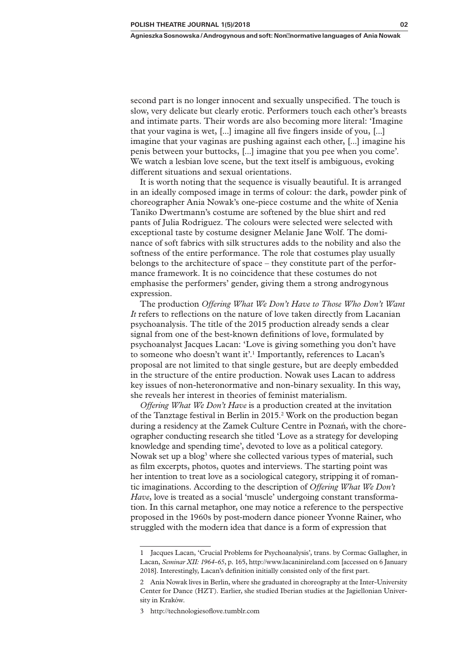second part is no longer innocent and sexually unspecified. The touch is slow, very delicate but clearly erotic. Performers touch each other's breasts and intimate parts. Their words are also becoming more literal: 'Imagine that your vagina is wet, [...] imagine all five fingers inside of you, [...] imagine that your vaginas are pushing against each other, [...] imagine his penis between your buttocks, [...] imagine that you pee when you come'. We watch a lesbian love scene, but the text itself is ambiguous, evoking different situations and sexual orientations.

It is worth noting that the sequence is visually beautiful. It is arranged in an ideally composed image in terms of colour: the dark, powder pink of choreographer Ania Nowak's one‑piece costume and the white of Xenia Taniko Dwertmann's costume are softened by the blue shirt and red pants of Julia Rodriguez. The colours were selected were selected with exceptional taste by costume designer Melanie Jane Wolf. The dominance of soft fabrics with silk structures adds to the nobility and also the softness of the entire performance. The role that costumes play usually belongs to the architecture of space – they constitute part of the performance framework. It is no coincidence that these costumes do not emphasise the performers' gender, giving them a strong androgynous expression.

The production *Offering What We Don't Have to Those Who Don't Want It* refers to reflections on the nature of love taken directly from Lacanian psychoanalysis. The title of the 2015 production already sends a clear signal from one of the best-known definitions of love, formulated by psychoanalyst Jacques Lacan: 'Love is giving something you don't have to someone who doesn't want it'.<sup>1</sup> Importantly, references to Lacan's proposal are not limited to that single gesture, but are deeply embedded in the structure of the entire production. Nowak uses Lacan to address key issues of non‑heteronormative and non‑binary sexuality. In this way, she reveals her interest in theories of feminist materialism.

*Offering What We Don't Have* is a production created at the invitation of the Tanztage festival in Berlin in 2015.<sup>2</sup> Work on the production began during a residency at the Zamek Culture Centre in Poznań, with the choreographer conducting research she titled 'Love as a strategy for developing knowledge and spending time', devoted to love as a political category. Nowak set up a blog<sup>3</sup> where she collected various types of material, such as film excerpts, photos, quotes and interviews. The starting point was her intention to treat love as a sociological category, stripping it of romantic imaginations. According to the description of *Offering What We Don't Have*, love is treated as a social 'muscle' undergoing constant transformation. In this carnal metaphor, one may notice a reference to the perspective proposed in the 1960s by post‑modern dance pioneer Yvonne Rainer, who struggled with the modern idea that dance is a form of expression that

<sup>1</sup> Jacques Lacan, 'Crucial Problems for Psychoanalysis', trans. by Cormac Gallagher, in Lacan, *Seminar XII: 1964‑65*, p. 165, http://www.lacaninireland.com [accessed on 6 January 2018]. Interestingly, Lacan's definition initially consisted only of the first part.

<sup>2</sup> Ania Nowak lives in Berlin, where she graduated in choreography at the Inter-University Center for Dance (HZT). Earlier, she studied Iberian studies at the Jagiellonian University in Kraków.

<sup>3</sup> http://technologiesoflove.tumblr.com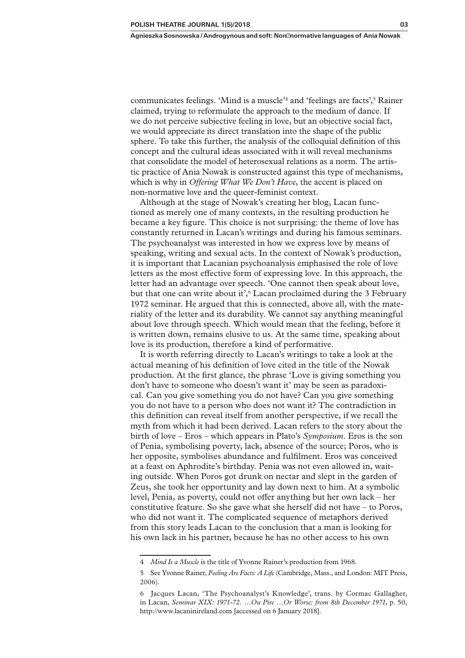communicates feelings. 'Mind is a muscle<sup>34</sup> and 'feelings are facts',<sup>5</sup> Rainer claimed, trying to reformulate the approach to the medium of dance. If we do not perceive subjective feeling in love, but an objective social fact, we would appreciate its direct translation into the shape of the public sphere. To take this further, the analysis of the colloquial definition of this concept and the cultural ideas associated with it will reveal mechanisms that consolidate the model of heterosexual relations as a norm. The artis‑ tic practice of Ania Nowak is constructed against this type of mechanisms, which is why in *Offering What We Don't Have*, the accent is placed on non-normative love and the queer-feminist context.

Although at the stage of Nowak's creating her blog, Lacan functioned as merely one of many contexts, in the resulting production he became a key figure. This choice is not surprising: the theme of love has constantly returned in Lacan's writings and during his famous seminars. The psychoanalyst was interested in how we express love by means of speaking, writing and sexual acts. In the context of Nowak's production, it is important that Lacanian psychoanalysis emphasised the role of love letters as the most effective form of expressing love. In this approach, the letter had an advantage over speech. 'One cannot then speak about love, but that one can write about it',  $6$  Lacan proclaimed during the 3 February 1972 seminar. He argued that this is connected, above all, with the materiality of the letter and its durability. We cannot say anything meaningful about love through speech. Which would mean that the feeling, before it is written down, remains elusive to us. At the same time, speaking about love is its production, therefore a kind of performative.

It is worth referring directly to Lacan's writings to take a look at the actual meaning of his definition of love cited in the title of the Nowak production. At the first glance, the phrase 'Love is giving something you don't have to someone who doesn't want it' may be seen as paradoxical. Can you give something you do not have? Can you give something you do not have to a person who does not want it? The contradiction in this definition can reveal itself from another perspective, if we recall the myth from which it had been derived. Lacan refers to the story about the birth of love – Eros – which appears in Plato's *Symposium*. Eros is the son of Penia, symbolising poverty, lack, absence of the source; Poros, who is her opposite, symbolises abundance and fulfilment. Eros was conceived at a feast on Aphrodite's birthday. Penia was not even allowed in, wait‑ ing outside. When Poros got drunk on nectar and slept in the garden of Zeus, she took her opportunity and lay down next to him. At a symbolic level, Penia, as poverty, could not offer anything but her own lack – her constitutive feature. So she gave what she herself did not have – to Poros, who did not want it. The complicated sequence of metaphors derived from this story leads Lacan to the conclusion that a man is looking for his own lack in his partner, because he has no other access to his own

<sup>4</sup> *Mind Is a Muscle* is the title of Yvonne Rainer's production from 1968.

<sup>5</sup> See Yvonne Rainer, *Feeling Are Facts: A Life* (Cambridge, Mass., and London: MIT Press, 2006).

<sup>6</sup> Jacques Lacan, 'The Psychoanalyst's Knowledge', trans. by Cormac Gallagher, in Lacan, *Seminar XIX: 1971‑72. …Ou Pire …Or Worse: from 8th December 1971*, p. 50, http://www.lacaninireland.com [accessed on 6 January 2018].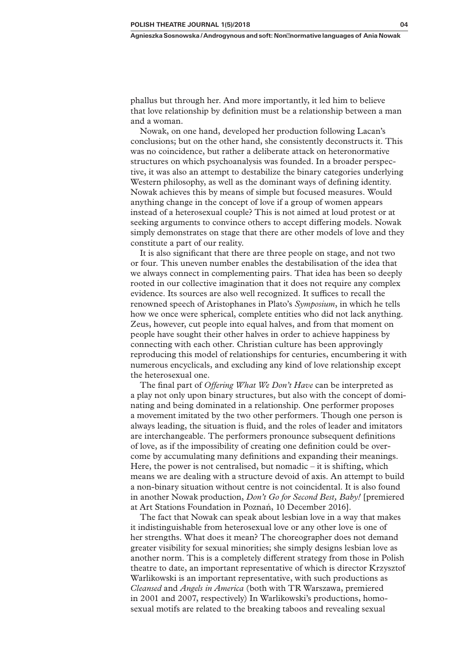phallus but through her. And more importantly, it led him to believe that love relationship by definition must be a relationship between a man and a woman.

Nowak, on one hand, developed her production following Lacan's conclusions; but on the other hand, she consistently deconstructs it. This was no coincidence, but rather a deliberate attack on heteronormative structures on which psychoanalysis was founded. In a broader perspec‑ tive, it was also an attempt to destabilize the binary categories underlying Western philosophy, as well as the dominant ways of defining identity. Nowak achieves this by means of simple but focused measures. Would anything change in the concept of love if a group of women appears instead of a heterosexual couple? This is not aimed at loud protest or at seeking arguments to convince others to accept differing models. Nowak simply demonstrates on stage that there are other models of love and they constitute a part of our reality.

It is also significant that there are three people on stage, and not two or four. This uneven number enables the destabilisation of the idea that we always connect in complementing pairs. That idea has been so deeply rooted in our collective imagination that it does not require any complex evidence. Its sources are also well recognized. It suffices to recall the renowned speech of Aristophanes in Plato's *Symposium*, in which he tells how we once were spherical, complete entities who did not lack anything. Zeus, however, cut people into equal halves, and from that moment on people have sought their other halves in order to achieve happiness by connecting with each other. Christian culture has been approvingly reproducing this model of relationships for centuries, encumbering it with numerous encyclicals, and excluding any kind of love relationship except the heterosexual one.

The final part of *Offering What We Don't Have* can be interpreted as a play not only upon binary structures, but also with the concept of dominating and being dominated in a relationship. One performer proposes a movement imitated by the two other performers. Though one person is always leading, the situation is fluid, and the roles of leader and imitators are interchangeable. The performers pronounce subsequent definitions of love, as if the impossibility of creating one definition could be over‑ come by accumulating many definitions and expanding their meanings. Here, the power is not centralised, but nomadic  $-$  it is shifting, which means we are dealing with a structure devoid of axis. An attempt to build a non‑binary situation without centre is not coincidental. It is also found in another Nowak production, *Don't Go for Second Best, Baby!* [premiered at Art Stations Foundation in Poznań, 10 December 2016].

The fact that Nowak can speak about lesbian love in a way that makes it indistinguishable from heterosexual love or any other love is one of her strengths. What does it mean? The choreographer does not demand greater visibility for sexual minorities; she simply designs lesbian love as another norm. This is a completely different strategy from those in Polish theatre to date, an important representative of which is director Krzysztof Warlikowski is an important representative, with such productions as *Cleansed* and *Angels in America* (both with TR Warszawa, premiered in 2001 and 2007, respectively) In Warlikowski's productions, homosexual motifs are related to the breaking taboos and revealing sexual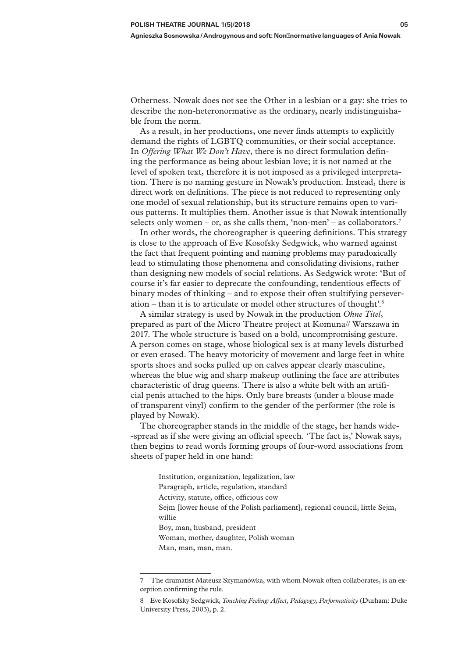Otherness. Nowak does not see the Other in a lesbian or a gay: she tries to describe the non-heteronormative as the ordinary, nearly indistinguishable from the norm.

As a result, in her productions, one never finds attempts to explicitly demand the rights of LGBTQ communities, or their social acceptance. In *Offering What We Don't Have*, there is no direct formulation defining the performance as being about lesbian love; it is not named at the level of spoken text, therefore it is not imposed as a privileged interpretation. There is no naming gesture in Nowak's production. Instead, there is direct work on definitions. The piece is not reduced to representing only one model of sexual relationship, but its structure remains open to various patterns. It multiplies them. Another issue is that Nowak intentionally selects only women – or, as she calls them, 'non-men' – as collaborators.<sup>7</sup>

In other words, the choreographer is queering definitions. This strategy is close to the approach of Eve Kosofsky Sedgwick, who warned against the fact that frequent pointing and naming problems may paradoxically lead to stimulating those phenomena and consolidating divisions, rather than designing new models of social relations. As Sedgwick wrote: 'But of course it's far easier to deprecate the confounding, tendentious effects of binary modes of thinking – and to expose their often stultifying perseveration – than it is to articulate or model other structures of thought'.8

A similar strategy is used by Nowak in the production *Ohne Titel*, prepared as part of the Micro Theatre project at Komuna// Warszawa in 2017. The whole structure is based on a bold, uncompromising gesture. A person comes on stage, whose biological sex is at many levels disturbed or even erased. The heavy motoricity of movement and large feet in white sports shoes and socks pulled up on calves appear clearly masculine, whereas the blue wig and sharp makeup outlining the face are attributes characteristic of drag queens. There is also a white belt with an artificial penis attached to the hips. Only bare breasts (under a blouse made of transparent vinyl) confirm to the gender of the performer (the role is played by Nowak).

The choreographer stands in the middle of the stage, her hands wide-‑spread as if she were giving an official speech. 'The fact is,' Nowak says, then begins to read words forming groups of four‑word associations from sheets of paper held in one hand:

Institution, organization, legalization, law Paragraph, article, regulation, standard Activity, statute, office, officious cow Sejm [lower house of the Polish parliament], regional council, little Sejm, willie Boy, man, husband, president Woman, mother, daughter, Polish woman

Man, man, man, man.

<sup>7</sup> The dramatist Mateusz Szymanówka, with whom Nowak often collaborates, is an ex‑ ception confirming the rule.

<sup>8</sup> Eve Kosofsky Sedgwick, *Touching Feeling: Affect, Pedagogy, Performativity* (Durham: Duke University Press, 2003), p. 2.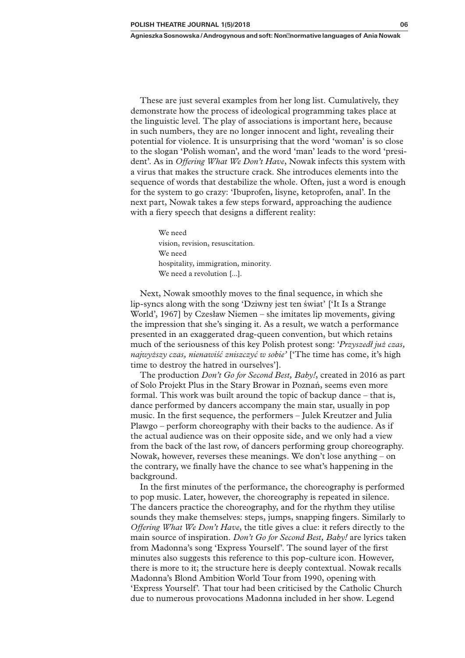These are just several examples from her long list. Cumulatively, they demonstrate how the process of ideological programming takes place at the linguistic level. The play of associations is important here, because in such numbers, they are no longer innocent and light, revealing their potential for violence. It is unsurprising that the word 'woman' is so close to the slogan 'Polish woman', and the word 'man' leads to the word 'president'. As in *Offering What We Don't Have*, Nowak infects this system with a virus that makes the structure crack. She introduces elements into the sequence of words that destabilize the whole. Often, just a word is enough for the system to go crazy: 'Ibuprofen, lisyne, ketoprofen, anal'. In the next part, Nowak takes a few steps forward, approaching the audience with a fiery speech that designs a different reality:

> We need vision, revision, resuscitation. We need hospitality, immigration, minority. We need a revolution [...].

Next, Nowak smoothly moves to the final sequence, in which she lip‑syncs along with the song 'Dziwny jest ten świat' ['It Is a Strange World', 1967] by Czesław Niemen – she imitates lip movements, giving the impression that she's singing it. As a result, we watch a performance presented in an exaggerated drag‑queen convention, but which retains much of the seriousness of this key Polish protest song: '*Przyszedł już czas, najwyższy czas, nienawiść zniszczyć w sobie'* ['The time has come, it's high time to destroy the hatred in ourselves'].

The production *Don't Go for Second Best, Baby!*, created in 2016 as part of Solo Projekt Plus in the Stary Browar in Poznań, seems even more formal. This work was built around the topic of backup dance – that is, dance performed by dancers accompany the main star, usually in pop music. In the first sequence, the performers – Julek Kreutzer and Julia Plawgo – perform choreography with their backs to the audience. As if the actual audience was on their opposite side, and we only had a view from the back of the last row, of dancers performing group choreography. Nowak, however, reverses these meanings. We don't lose anything – on the contrary, we finally have the chance to see what's happening in the background.

In the first minutes of the performance, the choreography is performed to pop music. Later, however, the choreography is repeated in silence. The dancers practice the choreography, and for the rhythm they utilise sounds they make themselves: steps, jumps, snapping fingers. Similarly to *Offering What We Don't Have*, the title gives a clue: it refers directly to the main source of inspiration. *Don't Go for Second Best, Baby!* are lyrics taken from Madonna's song 'Express Yourself'. The sound layer of the first minutes also suggests this reference to this pop-culture icon. However, there is more to it; the structure here is deeply contextual. Nowak recalls Madonna's Blond Ambition World Tour from 1990, opening with 'Express Yourself'*.* That tour had been criticised by the Catholic Church due to numerous provocations Madonna included in her show. Legend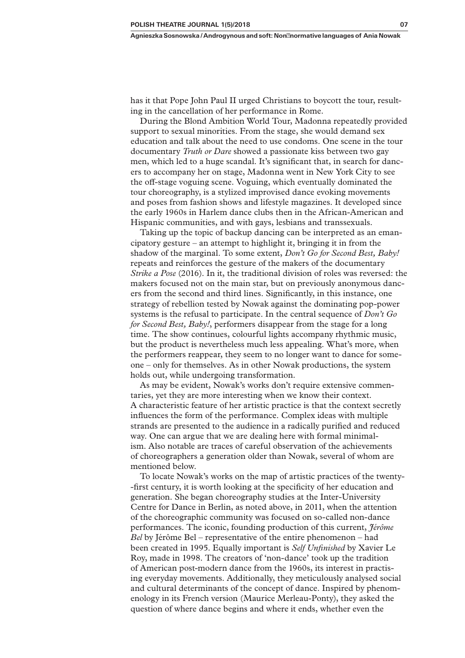has it that Pope John Paul II urged Christians to boycott the tour, resulting in the cancellation of her performance in Rome.

During the Blond Ambition World Tour, Madonna repeatedly provided support to sexual minorities. From the stage, she would demand sex education and talk about the need to use condoms. One scene in the tour documentary *Truth or Dare* showed a passionate kiss between two gay men, which led to a huge scandal. It's significant that, in search for danc– ers to accompany her on stage, Madonna went in New York City to see the off‑stage voguing scene. Voguing, which eventually dominated the tour choreography, is a stylized improvised dance evoking movements and poses from fashion shows and lifestyle magazines. It developed since the early 1960s in Harlem dance clubs then in the African‑American and Hispanic communities, and with gays, lesbians and transsexuals.

Taking up the topic of backup dancing can be interpreted as an emancipatory gesture – an attempt to highlight it, bringing it in from the shadow of the marginal. To some extent, *Don't Go for Second Best, Baby!* repeats and reinforces the gesture of the makers of the documentary *Strike a Pose* (2016). In it, the traditional division of roles was reversed: the makers focused not on the main star, but on previously anonymous dancers from the second and third lines. Significantly, in this instance, one strategy of rebellion tested by Nowak against the dominating pop‑power systems is the refusal to participate. In the central sequence of *Don't Go for Second Best, Baby!*, performers disappear from the stage for a long time. The show continues, colourful lights accompany rhythmic music, but the product is nevertheless much less appealing. What's more, when the performers reappear, they seem to no longer want to dance for some‑ one – only for themselves. As in other Nowak productions, the system holds out, while undergoing transformation.

As may be evident, Nowak's works don't require extensive commentaries, yet they are more interesting when we know their context. A characteristic feature of her artistic practice is that the context secretly influences the form of the performance. Complex ideas with multiple strands are presented to the audience in a radically purified and reduced way. One can argue that we are dealing here with formal minimal– ism. Also notable are traces of careful observation of the achievements of choreographers a generation older than Nowak, several of whom are mentioned below.

To locate Nowak's works on the map of artistic practices of the twenty-‑first century, it is worth looking at the specificity of her education and generation. She began choreography studies at the Inter-University Centre for Dance in Berlin, as noted above, in 2011, when the attention of the choreographic community was focused on so-called non-dance performances. The iconic, founding production of this current, *Jérôme Bel* by Jérôme Bel – representative of the entire phenomenon – had been created in 1995. Equally important is *Self Unfinished* by Xavier Le Roy, made in 1998. The creators of 'non‑dance' took up the tradition of American post-modern dance from the 1960s, its interest in practising everyday movements. Additionally, they meticulously analysed social and cultural determinants of the concept of dance. Inspired by phenomenology in its French version (Maurice Merleau‑Ponty), they asked the question of where dance begins and where it ends, whether even the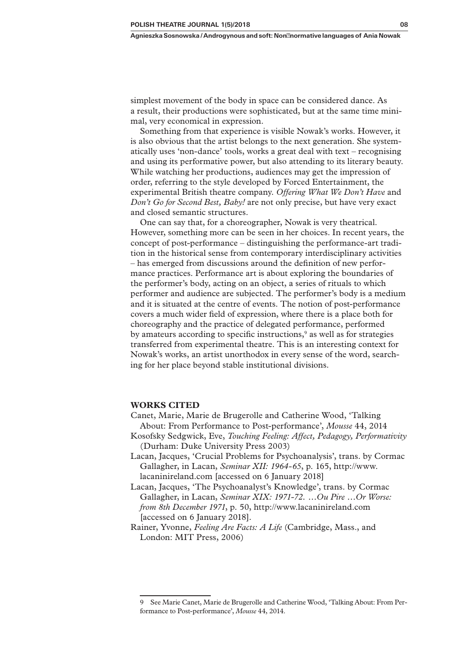simplest movement of the body in space can be considered dance. As a result, their productions were sophisticated, but at the same time minimal, very economical in expression.

Something from that experience is visible Nowak's works. However, it is also obvious that the artist belongs to the next generation. She systematically uses 'non-dance' tools, works a great deal with text – recognising and using its performative power, but also attending to its literary beauty. While watching her productions, audiences may get the impression of order, referring to the style developed by Forced Entertainment, the experimental British theatre company. *Offering What We Don't Have* and *Don't Go for Second Best, Baby!* are not only precise, but have very exact and closed semantic structures.

One can say that, for a choreographer, Nowak is very theatrical. However, something more can be seen in her choices. In recent years, the concept of post-performance – distinguishing the performance-art tradition in the historical sense from contemporary interdisciplinary activities – has emerged from discussions around the definition of new perfor‑ mance practices. Performance art is about exploring the boundaries of the performer's body, acting on an object, a series of rituals to which performer and audience are subjected. The performer's body is a medium and it is situated at the centre of events. The notion of post-performance covers a much wider field of expression, where there is a place both for choreography and the practice of delegated performance, performed by amateurs according to specific instructions,<sup>9</sup> as well as for strategies transferred from experimental theatre. This is an interesting context for Nowak's works, an artist unorthodox in every sense of the word, searching for her place beyond stable institutional divisions.

#### **WORKS CITED**

- Canet, Marie, Marie de Brugerolle and Catherine Wood, 'Talking About: From Performance to Post‑performance', *Mousse* 44, 2014
- Kosofsky Sedgwick, Eve, *Touching Feeling: Affect, Pedagogy, Performativity* (Durham: Duke University Press 2003)
- Lacan, Jacques, 'Crucial Problems for Psychoanalysis', trans. by Cormac Gallagher, in Lacan, *Seminar XII: 1964‑65*, p. 165, http://www. lacaninireland.com [accessed on 6 January 2018]

Lacan, Jacques, 'The Psychoanalyst's Knowledge', trans. by Cormac Gallagher, in Lacan, *Seminar XIX: 1971‑72. …Ou Pire …Or Worse: from 8th December 1971*, p. 50, http://www.lacaninireland.com [accessed on 6 January 2018].

Rainer, Yvonne, *Feeling Are Facts: A Life* (Cambridge, Mass., and London: MIT Press, 2006)

<sup>9</sup> See Marie Canet, Marie de Brugerolle and Catherine Wood, 'Talking About: From Performance to Post‑performance', *Mousse* 44, 2014.